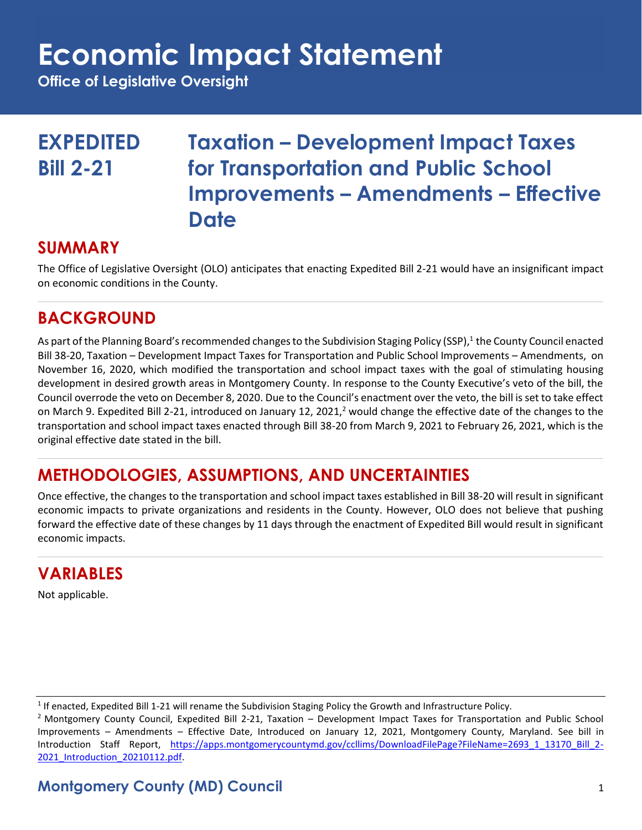# **Economic Impact Statement**

**Office of Legislative Oversight**

**EXPEDITED Taxation – Development Impact Taxes Bill 2-21 for Transportation and Public School Improvements – Amendments – Effective Date**

#### **SUMMARY**

The Office of Legislative Oversight (OLO) anticipates that enacting Expedited Bill 2-21 would have an insignificant impact on economic conditions in the County.

## **BACKGROUND**

As part of the Planning Board's recommended changes to the Subdivision Staging Policy (SSP), 1 the County Council enacted Bill 38-20, Taxation – Development Impact Taxes for Transportation and Public School Improvements – Amendments, on November 16, 2020, which modified the transportation and school impact taxes with the goal of stimulating housing development in desired growth areas in Montgomery County. In response to the County Executive's veto of the bill, the Council overrode the veto on December 8, 2020. Due to the Council's enactment over the veto, the bill is set to take effect on March 9. Expedited Bill 2-21, introduced on January 12, 2021,<sup>2</sup> would change the effective date of the changes to the transportation and school impact taxes enacted through Bill 38-20 from March 9, 2021 to February 26, 2021, which is the original effective date stated in the bill.

### **METHODOLOGIES, ASSUMPTIONS, AND UNCERTAINTIES**

Once effective, the changes to the transportation and school impact taxes established in Bill 38-20 will result in significant economic impacts to private organizations and residents in the County. However, OLO does not believe that pushing forward the effective date of these changes by 11 days through the enactment of Expedited Bill would result in significant economic impacts.

### **VARIABLES**

Not applicable.

 $^1$  If enacted, Expedited Bill 1-21 will rename the Subdivision Staging Policy the Growth and Infrastructure Policy.

<sup>2</sup> Montgomery County Council, Expedited Bill 2-21, Taxation – Development Impact Taxes for Transportation and Public School Improvements – Amendments – Effective Date, Introduced on January 12, 2021, Montgomery County, Maryland. See bill in Introduction Staff Report, [https://apps.montgomerycountymd.gov/ccllims/DownloadFilePage?FileName=2693\\_1\\_13170\\_Bill\\_2-](https://apps.montgomerycountymd.gov/ccllims/DownloadFilePage?FileName=2693_1_13170_Bill_2-2021_Introduction_20210112.pdf) [2021\\_Introduction\\_20210112.pdf.](https://apps.montgomerycountymd.gov/ccllims/DownloadFilePage?FileName=2693_1_13170_Bill_2-2021_Introduction_20210112.pdf)